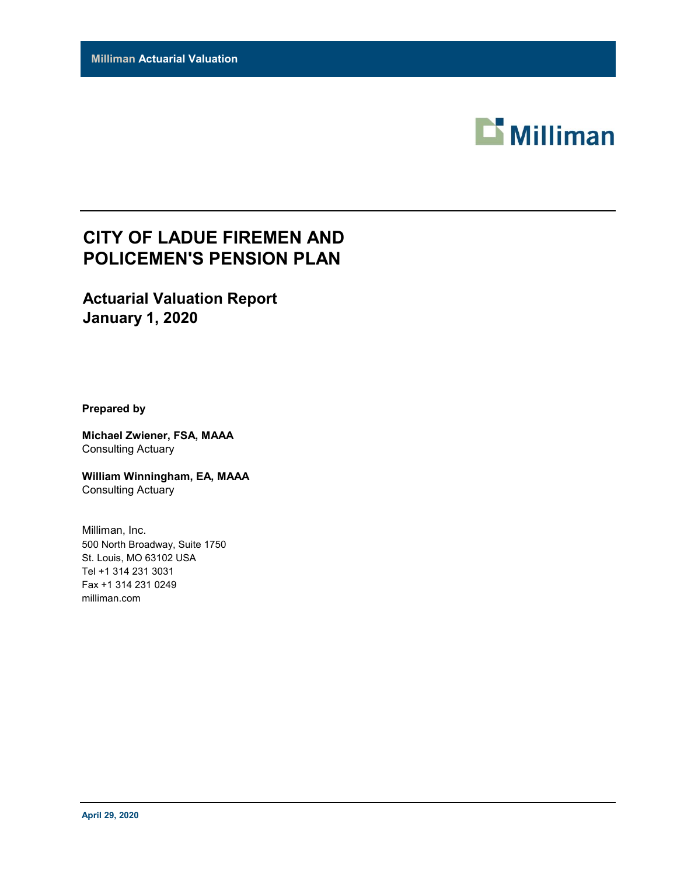

## **CITY OF LADUE FIREMEN AND POLICEMEN'S PENSION PLAN**

### **Actuarial Valuation Report January 1, 2020**

**Prepared by**

**Michael Zwiener, FSA, MAAA** Consulting Actuary

**William Winningham, EA, MAAA** Consulting Actuary

Milliman, Inc. 500 North Broadway, Suite 1750 St. Louis, MO 63102 USA Tel +1 314 231 3031 Fax +1 314 231 0249 milliman.com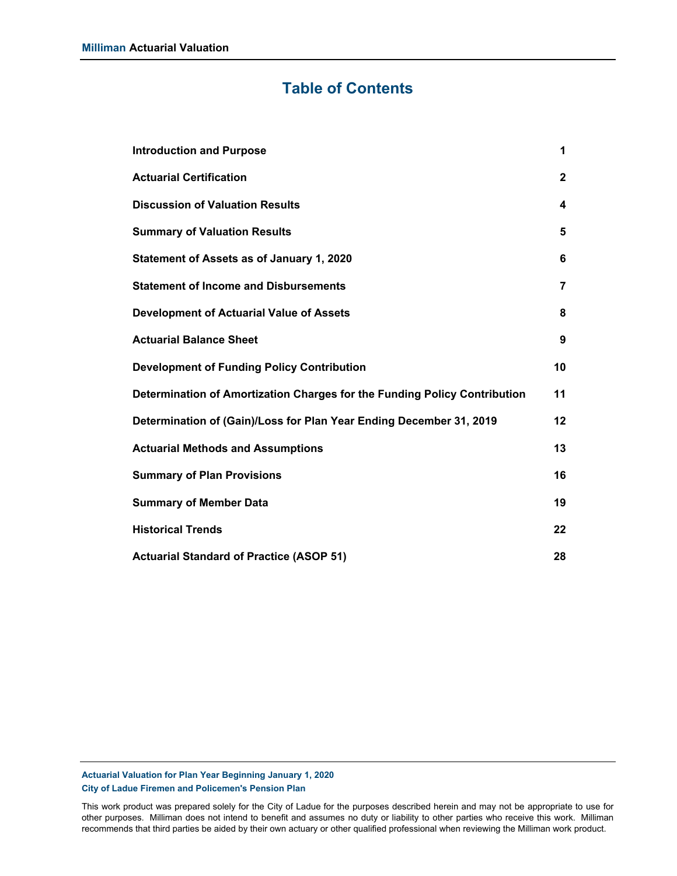### **Table of Contents**

| <b>Introduction and Purpose</b>                                           | 1              |
|---------------------------------------------------------------------------|----------------|
| <b>Actuarial Certification</b>                                            | $\mathbf{2}$   |
| <b>Discussion of Valuation Results</b>                                    | 4              |
| <b>Summary of Valuation Results</b>                                       | 5              |
| Statement of Assets as of January 1, 2020                                 | 6              |
| <b>Statement of Income and Disbursements</b>                              | $\overline{7}$ |
| <b>Development of Actuarial Value of Assets</b>                           | 8              |
| <b>Actuarial Balance Sheet</b>                                            | 9              |
| <b>Development of Funding Policy Contribution</b>                         | 10             |
| Determination of Amortization Charges for the Funding Policy Contribution | 11             |
| Determination of (Gain)/Loss for Plan Year Ending December 31, 2019       | 12             |
| <b>Actuarial Methods and Assumptions</b>                                  | 13             |
| <b>Summary of Plan Provisions</b>                                         | 16             |
| <b>Summary of Member Data</b>                                             | 19             |
| <b>Historical Trends</b>                                                  | 22             |
| <b>Actuarial Standard of Practice (ASOP 51)</b>                           | 28             |

### **Actuarial Valuation for Plan Year Beginning January 1, 2020 City of Ladue Firemen and Policemen's Pension Plan**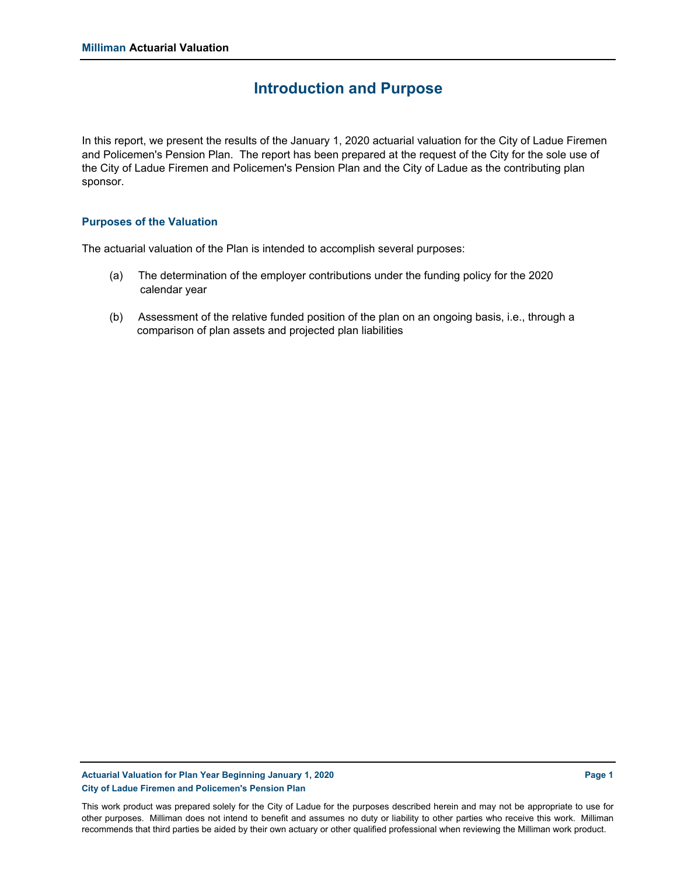### **Introduction and Purpose**

In this report, we present the results of the January 1, 2020 actuarial valuation for the City of Ladue Firemen and Policemen's Pension Plan. The report has been prepared at the request of the City for the sole use of the City of Ladue Firemen and Policemen's Pension Plan and the City of Ladue as the contributing plan sponsor.

### **Purposes of the Valuation**

The actuarial valuation of the Plan is intended to accomplish several purposes:

- (a) The determination of the employer contributions under the funding policy for the 2020 calendar year
- (b) Assessment of the relative funded position of the plan on an ongoing basis, i.e., through a comparison of plan assets and projected plan liabilities

### **Actuarial Valuation for Plan Year Beginning January 1, 2020 Page 1 City of Ladue Firemen and Policemen's Pension Plan**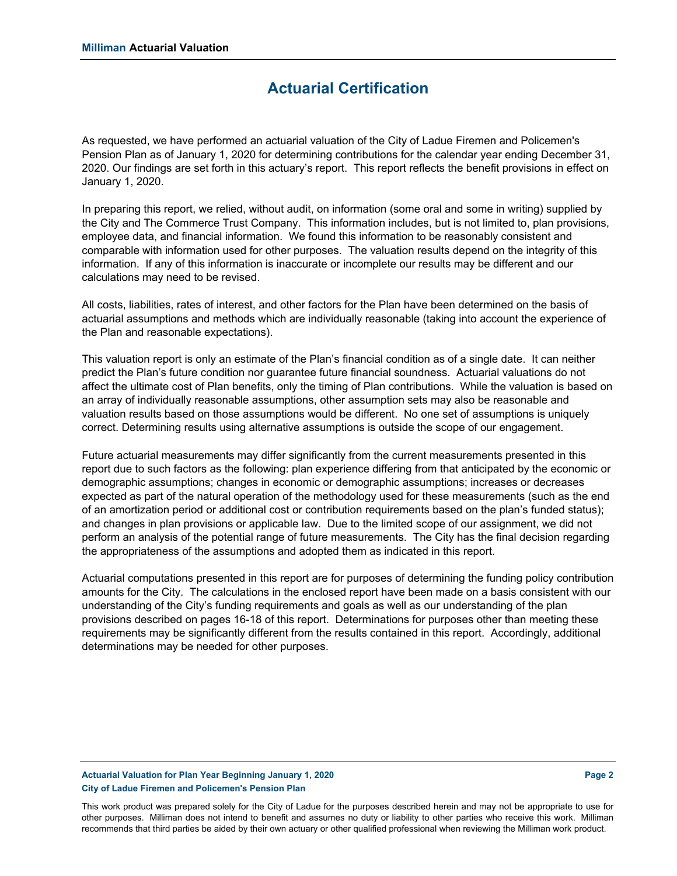### **Actuarial Certification**

As requested, we have performed an actuarial valuation of the City of Ladue Firemen and Policemen's Pension Plan as of January 1, 2020 for determining contributions for the calendar year ending December 31, 2020. Our findings are set forth in this actuary's report. This report reflects the benefit provisions in effect on January 1, 2020.

In preparing this report, we relied, without audit, on information (some oral and some in writing) supplied by the City and The Commerce Trust Company. This information includes, but is not limited to, plan provisions, employee data, and financial information. We found this information to be reasonably consistent and comparable with information used for other purposes. The valuation results depend on the integrity of this information. If any of this information is inaccurate or incomplete our results may be different and our calculations may need to be revised.

All costs, liabilities, rates of interest, and other factors for the Plan have been determined on the basis of actuarial assumptions and methods which are individually reasonable (taking into account the experience of the Plan and reasonable expectations).

This valuation report is only an estimate of the Plan's financial condition as of a single date. It can neither predict the Plan's future condition nor guarantee future financial soundness. Actuarial valuations do not affect the ultimate cost of Plan benefits, only the timing of Plan contributions. While the valuation is based on an array of individually reasonable assumptions, other assumption sets may also be reasonable and valuation results based on those assumptions would be different. No one set of assumptions is uniquely correct. Determining results using alternative assumptions is outside the scope of our engagement.

Future actuarial measurements may differ significantly from the current measurements presented in this report due to such factors as the following: plan experience differing from that anticipated by the economic or demographic assumptions; changes in economic or demographic assumptions; increases or decreases expected as part of the natural operation of the methodology used for these measurements (such as the end of an amortization period or additional cost or contribution requirements based on the plan's funded status); and changes in plan provisions or applicable law. Due to the limited scope of our assignment, we did not perform an analysis of the potential range of future measurements. The City has the final decision regarding the appropriateness of the assumptions and adopted them as indicated in this report.

Actuarial computations presented in this report are for purposes of determining the funding policy contribution amounts for the City. The calculations in the enclosed report have been made on a basis consistent with our understanding of the City's funding requirements and goals as well as our understanding of the plan provisions described on pages 16-18 of this report. Determinations for purposes other than meeting these requirements may be significantly different from the results contained in this report. Accordingly, additional determinations may be needed for other purposes.

### **Actuarial Valuation for Plan Year Beginning January 1, 2020 Page 2 City of Ladue Firemen and Policemen's Pension Plan**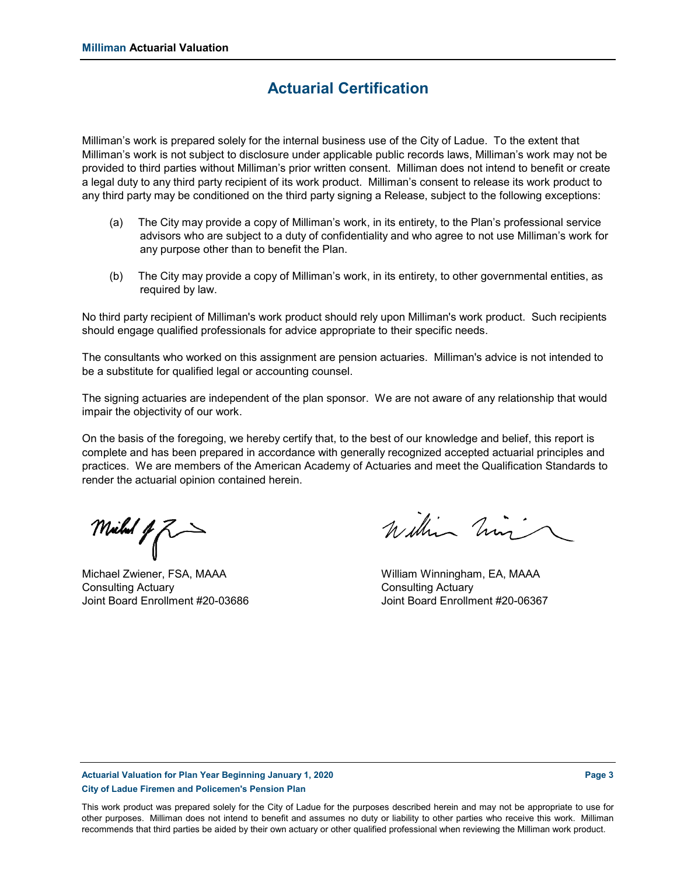### **Actuarial Certification**

Milliman's work is prepared solely for the internal business use of the City of Ladue. To the extent that Milliman's work is not subject to disclosure under applicable public records laws, Milliman's work may not be provided to third parties without Milliman's prior written consent. Milliman does not intend to benefit or create a legal duty to any third party recipient of its work product. Milliman's consent to release its work product to any third party may be conditioned on the third party signing a Release, subject to the following exceptions:

- (a) The City may provide a copy of Milliman's work, in its entirety, to the Plan's professional service advisors who are subject to a duty of confidentiality and who agree to not use Milliman's work for any purpose other than to benefit the Plan.
- (b) The City may provide a copy of Milliman's work, in its entirety, to other governmental entities, as required by law.

No third party recipient of Milliman's work product should rely upon Milliman's work product. Such recipients should engage qualified professionals for advice appropriate to their specific needs.

The consultants who worked on this assignment are pension actuaries. Milliman's advice is not intended to be a substitute for qualified legal or accounting counsel.

The signing actuaries are independent of the plan sponsor. We are not aware of any relationship that would impair the objectivity of our work.

On the basis of the foregoing, we hereby certify that, to the best of our knowledge and belief, this report is complete and has been prepared in accordance with generally recognized accepted actuarial principles and practices. We are members of the American Academy of Actuaries and meet the Qualification Standards to render the actuarial opinion contained herein.

Michal of  $Z \rightarrow$ 

Consulting Actuary Consulting Actuary

Within him

Michael Zwiener, FSA, MAAA William Winningham, EA, MAAA Joint Board Enrollment #20-03686 Joint Board Enrollment #20-06367

### **Actuarial Valuation for Plan Year Beginning January 1, 2020 Page 3 City of Ladue Firemen and Policemen's Pension Plan**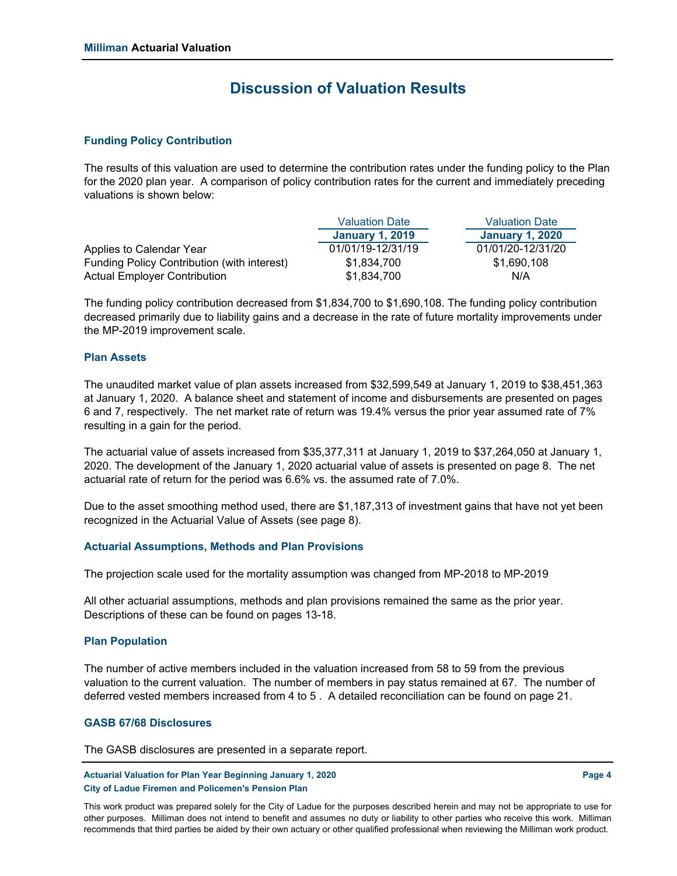### **Discussion of Valuation Results**

### **Funding Policy Contribution**

The results of this valuation are used to determine the contribution rates under the funding policy to the Plan for the 2020 plan year. A comparison of policy contribution rates for the current and immediately preceding valuations is shown below:

|                                             | <b>Valuation Date</b>  | <b>Valuation Date</b>  |
|---------------------------------------------|------------------------|------------------------|
|                                             | <b>January 1, 2019</b> | <b>January 1, 2020</b> |
| Applies to Calendar Year                    | 01/01/19-12/31/19      | 01/01/20-12/31/20      |
| Funding Policy Contribution (with interest) | \$1.834.700            | \$1,690,108            |
| <b>Actual Employer Contribution</b>         | \$1.834.700            | N/A                    |

The funding policy contribution decreased from \$1,834,700 to \$1,690,108. The funding policy contribution decreased primarily due to liability gains and a decrease in the rate of future mortality improvements under the MP-2019 improvement scale.

#### **Plan Assets**

The unaudited market value of plan assets increased from \$32,599,549 at January 1, 2019 to \$38,451,363 at January 1, 2020. A balance sheet and statement of income and disbursements are presented on pages 6 and 7, respectively. The net market rate of return was 19.4% versus the prior year assumed rate of 7% resulting in a gain for the period.

The actuarial value of assets increased from \$35,377,311 at January 1, 2019 to \$37,264,050 at January 1, 2020. The development of the January 1, 2020 actuarial value of assets is presented on page 8. The net actuarial rate of return for the period was 6.6% vs. the assumed rate of 7.0%.

Due to the asset smoothing method used, there are \$1,187,313 of investment gains that have not yet been recognized in the Actuarial Value of Assets (see page 8).

### **Actuarial Assumptions, Methods and Plan Provisions**

The projection scale used for the mortality assumption was changed from MP-2018 to MP-2019

All other actuarial assumptions, methods and plan provisions remained the same as the prior year. Descriptions of these can be found on pages 13-18.

#### **Plan Population**

The number of active members included in the valuation increased from 58 to 59 from the previous valuation to the current valuation. The number of members in pay status remained at 67. The number of deferred vested members increased from 4 to 5 . A detailed reconciliation can be found on page 21.

### **GASB 67/68 Disclosures**

The GASB disclosures are presented in a separate report.

**Actuarial Valuation for Plan Year Beginning January 1, 2020 Page 4 City of Ladue Firemen and Policemen's Pension Plan**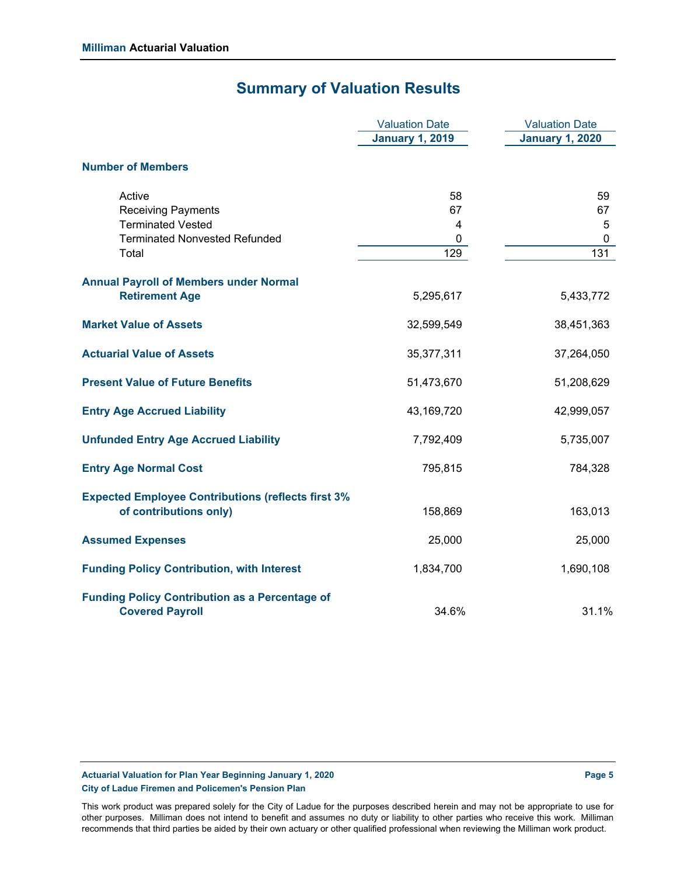## **Summary of Valuation Results**

|                                                                                     | <b>Valuation Date</b>   | <b>Valuation Date</b>  |
|-------------------------------------------------------------------------------------|-------------------------|------------------------|
|                                                                                     | <b>January 1, 2019</b>  | <b>January 1, 2020</b> |
| <b>Number of Members</b>                                                            |                         |                        |
| Active                                                                              | 58                      | 59                     |
| <b>Receiving Payments</b>                                                           | 67                      | 67                     |
| <b>Terminated Vested</b>                                                            | $\overline{\mathbf{4}}$ | $\sqrt{5}$             |
| <b>Terminated Nonvested Refunded</b>                                                | 0                       | $\mathbf 0$            |
| Total                                                                               | 129                     | 131                    |
| <b>Annual Payroll of Members under Normal</b>                                       |                         |                        |
| <b>Retirement Age</b>                                                               | 5,295,617               | 5,433,772              |
| <b>Market Value of Assets</b>                                                       | 32,599,549              | 38,451,363             |
| <b>Actuarial Value of Assets</b>                                                    | 35,377,311              | 37,264,050             |
| <b>Present Value of Future Benefits</b>                                             | 51,473,670              | 51,208,629             |
| <b>Entry Age Accrued Liability</b>                                                  | 43,169,720              | 42,999,057             |
| <b>Unfunded Entry Age Accrued Liability</b>                                         | 7,792,409               | 5,735,007              |
| <b>Entry Age Normal Cost</b>                                                        | 795,815                 | 784,328                |
| <b>Expected Employee Contributions (reflects first 3%</b><br>of contributions only) | 158,869                 | 163,013                |
| <b>Assumed Expenses</b>                                                             | 25,000                  | 25,000                 |
| <b>Funding Policy Contribution, with Interest</b>                                   | 1,834,700               | 1,690,108              |
| <b>Funding Policy Contribution as a Percentage of</b><br><b>Covered Payroll</b>     | 34.6%                   | 31.1%                  |

### Actuarial Valuation for Plan Year Beginning January 1, 2020 **Page 1, 2020** Page 5 **City of Ladue Firemen and Policemen's Pension Plan**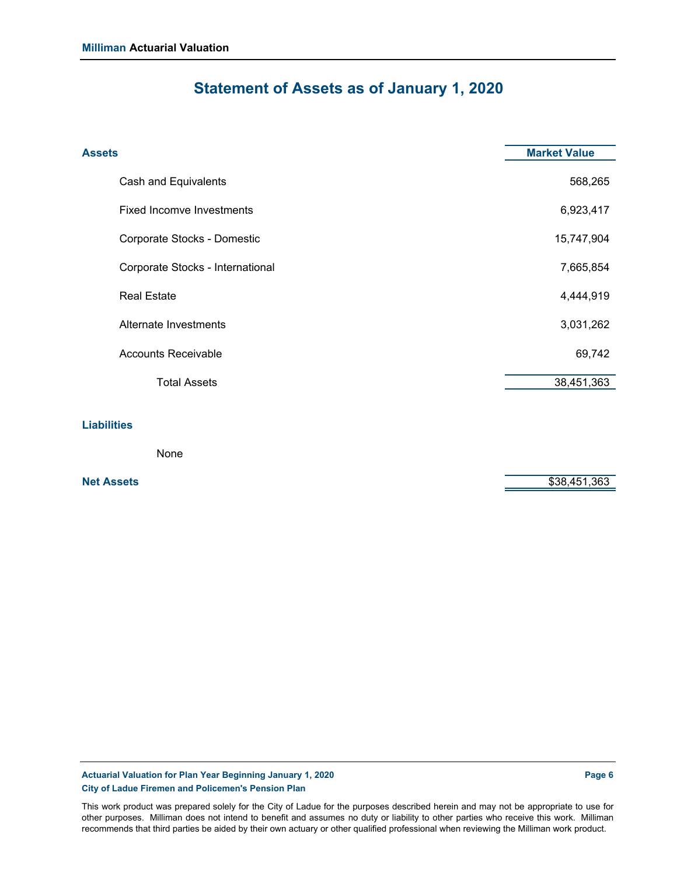## **Statement of Assets as of January 1, 2020**

| <b>Assets</b>                    | <b>Market Value</b> |
|----------------------------------|---------------------|
| Cash and Equivalents             | 568,265             |
| <b>Fixed Incomve Investments</b> | 6,923,417           |
| Corporate Stocks - Domestic      | 15,747,904          |
| Corporate Stocks - International | 7,665,854           |
| <b>Real Estate</b>               | 4,444,919           |
| Alternate Investments            | 3,031,262           |
| <b>Accounts Receivable</b>       | 69,742              |
| <b>Total Assets</b>              | 38,451,363          |
| <b>Liabilities</b><br>. .        |                     |

None

**Net Assets** \$38,451,363

Actuarial Valuation for Plan Year Beginning January 1, 2020 **Page 6** Page 6 **City of Ladue Firemen and Policemen's Pension Plan**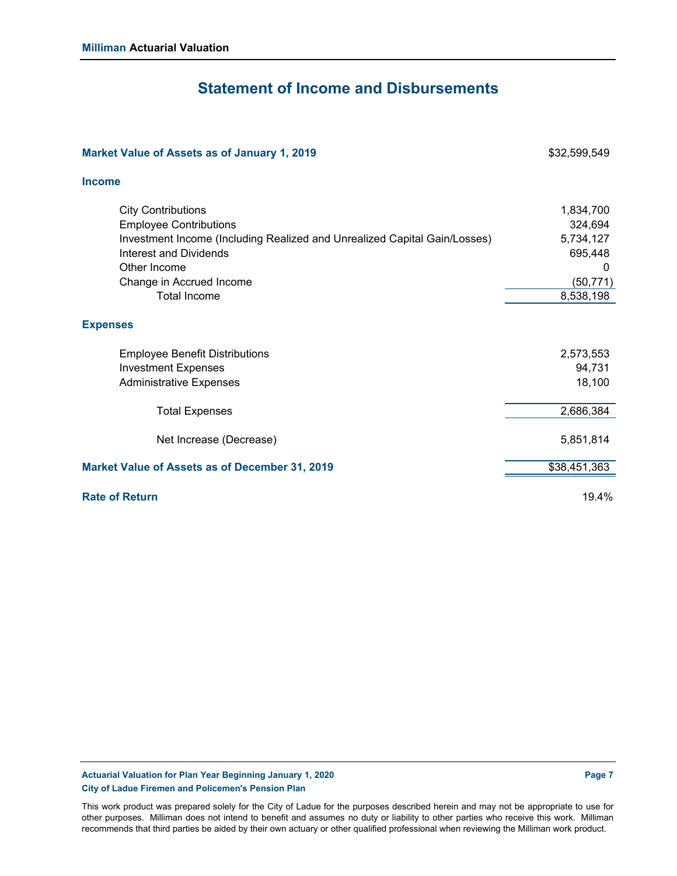### **Statement of Income and Disbursements**

| Market Value of Assets as of January 1, 2019                                                                                                                                                                                                | \$32,599,549                                                                |
|---------------------------------------------------------------------------------------------------------------------------------------------------------------------------------------------------------------------------------------------|-----------------------------------------------------------------------------|
| <b>Income</b>                                                                                                                                                                                                                               |                                                                             |
| <b>City Contributions</b><br><b>Employee Contributions</b><br>Investment Income (Including Realized and Unrealized Capital Gain/Losses)<br><b>Interest and Dividends</b><br>Other Income<br>Change in Accrued Income<br><b>Total Income</b> | 1,834,700<br>324,694<br>5,734,127<br>695,448<br>0<br>(50, 771)<br>8,538,198 |
| <b>Expenses</b>                                                                                                                                                                                                                             |                                                                             |
| <b>Employee Benefit Distributions</b><br><b>Investment Expenses</b><br><b>Administrative Expenses</b>                                                                                                                                       | 2,573,553<br>94,731<br>18,100                                               |
| <b>Total Expenses</b>                                                                                                                                                                                                                       | 2,686,384                                                                   |
| Net Increase (Decrease)                                                                                                                                                                                                                     | 5,851,814                                                                   |
| <b>Market Value of Assets as of December 31, 2019</b>                                                                                                                                                                                       | \$38,451,363                                                                |
| <b>Rate of Return</b>                                                                                                                                                                                                                       | 19.4%                                                                       |

Actuarial Valuation for Plan Year Beginning January 1, 2020 **Page 7** Page 7 **City of Ladue Firemen and Policemen's Pension Plan**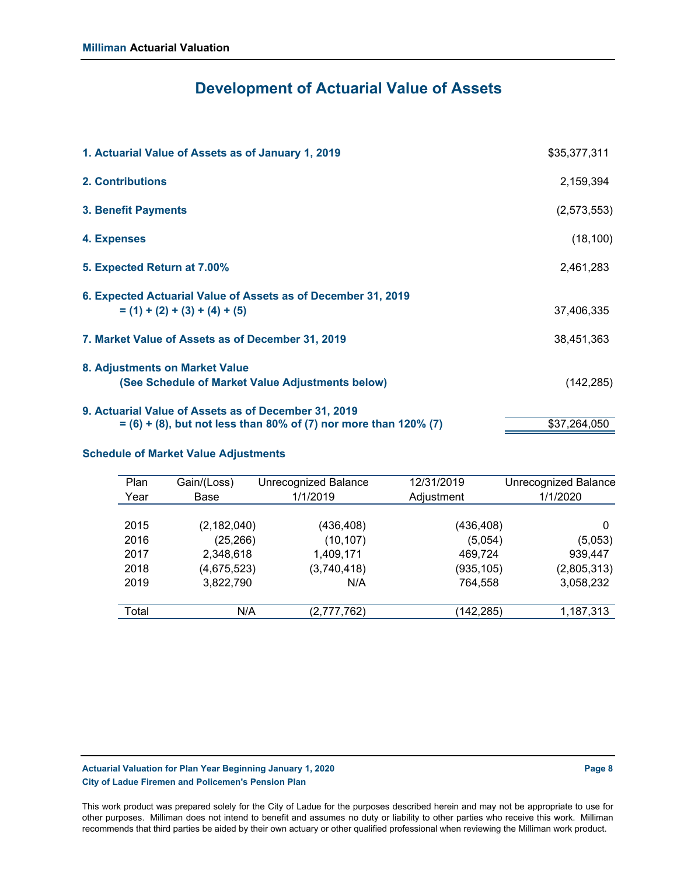## **Development of Actuarial Value of Assets**

| 1. Actuarial Value of Assets as of January 1, 2019                                                                         | \$35,377,311 |
|----------------------------------------------------------------------------------------------------------------------------|--------------|
| <b>2. Contributions</b>                                                                                                    | 2,159,394    |
| <b>3. Benefit Payments</b>                                                                                                 | (2,573,553)  |
| 4. Expenses                                                                                                                | (18, 100)    |
| 5. Expected Return at 7.00%                                                                                                | 2,461,283    |
| 6. Expected Actuarial Value of Assets as of December 31, 2019<br>$= (1) + (2) + (3) + (4) + (5)$                           | 37,406,335   |
| 7. Market Value of Assets as of December 31, 2019                                                                          | 38,451,363   |
| 8. Adjustments on Market Value<br>(See Schedule of Market Value Adjustments below)                                         | (142, 285)   |
| 9. Actuarial Value of Assets as of December 31, 2019<br>$=$ (6) + (8), but not less than 80% of (7) nor more than 120% (7) | \$37,264,050 |

### **Schedule of Market Value Adjustments**

| Plan<br>Year | Gain/(Loss)<br>Base | <b>Unrecognized Balance</b><br>1/1/2019 | 12/31/2019<br>Adjustment | <b>Unrecognized Balance</b><br>1/1/2020 |
|--------------|---------------------|-----------------------------------------|--------------------------|-----------------------------------------|
| 2015         | (2, 182, 040)       | (436, 408)                              | (436, 408)               | 0                                       |
| 2016         | (25, 266)           | (10, 107)                               | (5,054)                  | (5,053)                                 |
| 2017         | 2,348,618           | 1,409,171                               | 469,724                  | 939,447                                 |
| 2018         | (4,675,523)         | (3,740,418)                             | (935, 105)               | (2,805,313)                             |
| 2019         | 3,822,790           | N/A                                     | 764,558                  | 3,058,232                               |
|              |                     |                                         |                          |                                         |
| Total        | N/A                 | (2,777,762)                             | (142,285)                | 1,187,313                               |

### **Actuarial Valuation for Plan Year Beginning January 1, 2020 Page 8 City of Ladue Firemen and Policemen's Pension Plan**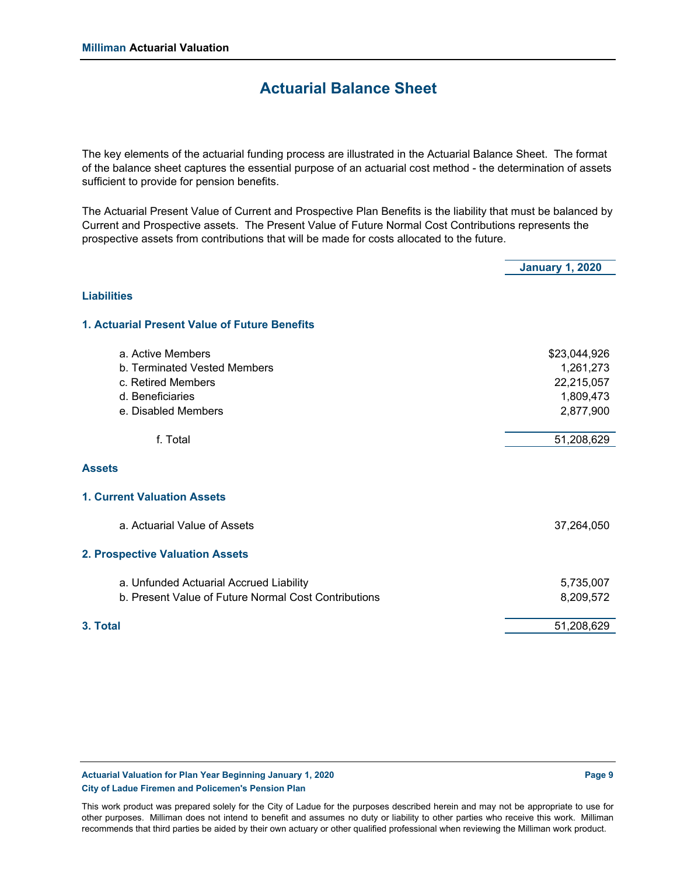### **Actuarial Balance Sheet**

The key elements of the actuarial funding process are illustrated in the Actuarial Balance Sheet. The format of the balance sheet captures the essential purpose of an actuarial cost method - the determination of assets sufficient to provide for pension benefits.

The Actuarial Present Value of Current and Prospective Plan Benefits is the liability that must be balanced by Current and Prospective assets. The Present Value of Future Normal Cost Contributions represents the prospective assets from contributions that will be made for costs allocated to the future.

**January 1, 2020 Liabilities 1. Actuarial Present Value of Future Benefits** a. Active Members \$23,044,926 b. Terminated Vested Members 1,261,273 c. Retired Members 22,215,057 d. Beneficiaries 1,809,473 e. Disabled Members 2,877,900 f. Total 51,208,629 **Assets 1. Current Valuation Assets** a. Actuarial Value of Assets 37,264,050 **2. Prospective Valuation Assets** a. Unfunded Actuarial Accrued Liability 5,735,007 b. Present Value of Future Normal Cost Contributions 6,209,572 **3. Total** 51,208,629

**Actuarial Valuation for Plan Year Beginning January 1, 2020 Page 9 City of Ladue Firemen and Policemen's Pension Plan**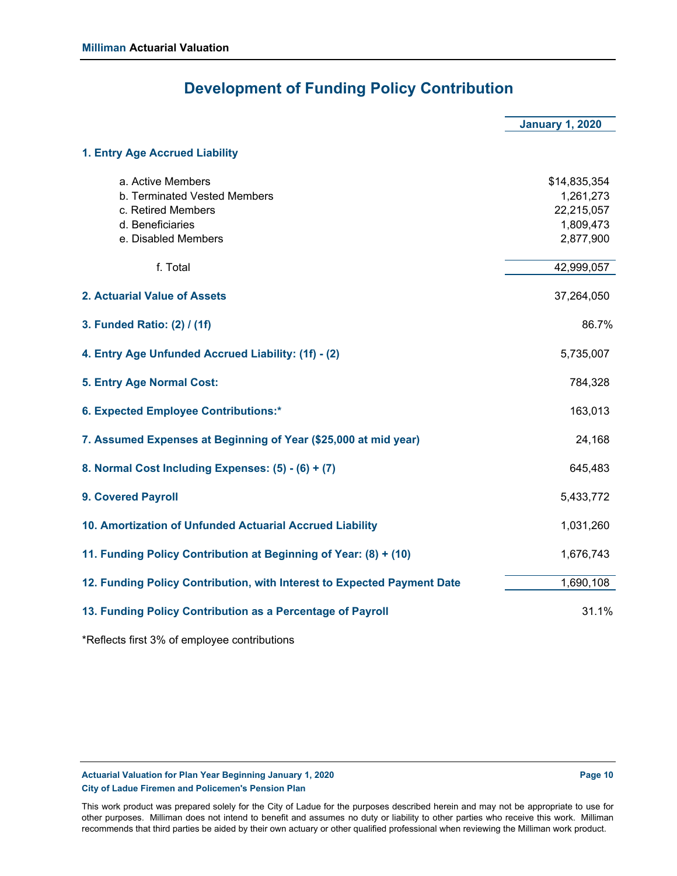## **Development of Funding Policy Contribution**

|                                                                                                                    | <b>January 1, 2020</b>                                            |
|--------------------------------------------------------------------------------------------------------------------|-------------------------------------------------------------------|
| 1. Entry Age Accrued Liability                                                                                     |                                                                   |
| a. Active Members<br>b. Terminated Vested Members<br>c. Retired Members<br>d. Beneficiaries<br>e. Disabled Members | \$14,835,354<br>1,261,273<br>22,215,057<br>1,809,473<br>2,877,900 |
| f. Total                                                                                                           | 42,999,057                                                        |
| 2. Actuarial Value of Assets                                                                                       | 37,264,050                                                        |
| 3. Funded Ratio: (2) / (1f)                                                                                        | 86.7%                                                             |
| 4. Entry Age Unfunded Accrued Liability: (1f) - (2)                                                                | 5,735,007                                                         |
| 5. Entry Age Normal Cost:                                                                                          | 784,328                                                           |
| 6. Expected Employee Contributions:*                                                                               | 163,013                                                           |
| 7. Assumed Expenses at Beginning of Year (\$25,000 at mid year)                                                    | 24,168                                                            |
| 8. Normal Cost Including Expenses: (5) - (6) + (7)                                                                 | 645,483                                                           |
| <b>9. Covered Payroll</b>                                                                                          | 5,433,772                                                         |
| 10. Amortization of Unfunded Actuarial Accrued Liability                                                           | 1,031,260                                                         |
| 11. Funding Policy Contribution at Beginning of Year: (8) + (10)                                                   | 1,676,743                                                         |
| 12. Funding Policy Contribution, with Interest to Expected Payment Date                                            | 1,690,108                                                         |
| 13. Funding Policy Contribution as a Percentage of Payroll                                                         | 31.1%                                                             |

\*Reflects first 3% of employee contributions

**Actuarial Valuation for Plan Year Beginning January 1, 2020 Page 10 Page 10 Page 10 City of Ladue Firemen and Policemen's Pension Plan**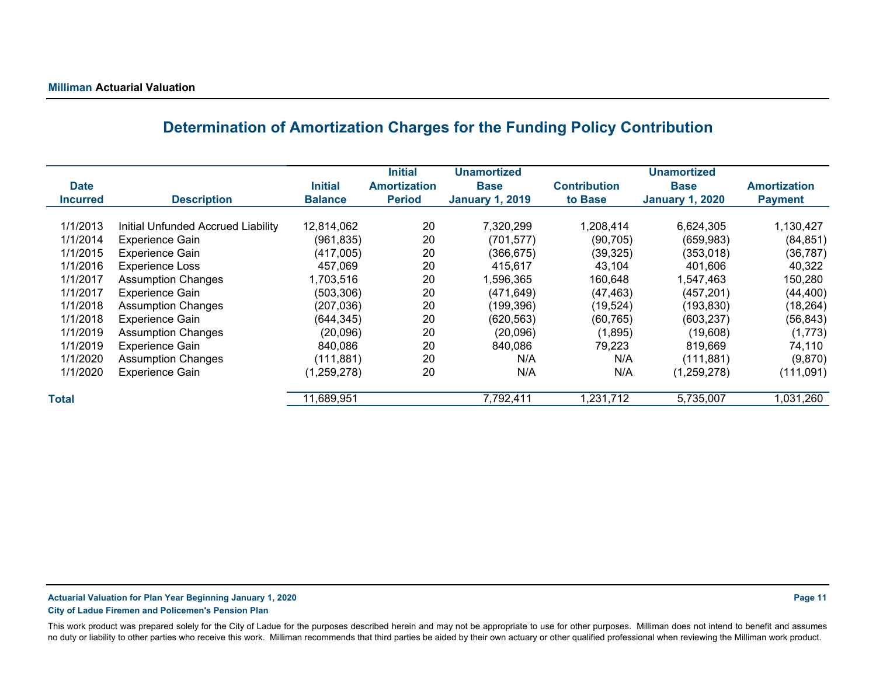## **Determination of Amortization Charges for the Funding Policy Contribution**

| <b>Date</b><br><b>Incurred</b> | <b>Description</b>                 | <b>Initial</b><br><b>Balance</b> | <b>Initial</b><br><b>Amortization</b><br><b>Period</b> | <b>Unamortized</b><br><b>Base</b><br><b>January 1, 2019</b> | <b>Contribution</b><br>to Base | <b>Unamortized</b><br><b>Base</b><br><b>January 1, 2020</b> | <b>Amortization</b><br><b>Payment</b> |
|--------------------------------|------------------------------------|----------------------------------|--------------------------------------------------------|-------------------------------------------------------------|--------------------------------|-------------------------------------------------------------|---------------------------------------|
|                                |                                    |                                  |                                                        |                                                             |                                |                                                             |                                       |
| 1/1/2013                       | Initial Unfunded Accrued Liability | 12,814,062                       | 20                                                     | 7,320,299                                                   | 1,208,414                      | 6,624,305                                                   | 1,130,427                             |
| 1/1/2014                       | <b>Experience Gain</b>             | (961, 835)                       | 20                                                     | (701, 577)                                                  | (90, 705)                      | (659, 983)                                                  | (84, 851)                             |
| 1/1/2015                       | <b>Experience Gain</b>             | (417,005)                        | 20                                                     | (366, 675)                                                  | (39, 325)                      | (353,018)                                                   | (36, 787)                             |
| 1/1/2016                       | <b>Experience Loss</b>             | 457,069                          | 20                                                     | 415,617                                                     | 43,104                         | 401,606                                                     | 40,322                                |
| 1/1/2017                       | <b>Assumption Changes</b>          | 1,703,516                        | 20                                                     | 1,596,365                                                   | 160,648                        | 1,547,463                                                   | 150,280                               |
| 1/1/2017                       | Experience Gain                    | (503, 306)                       | 20                                                     | (471, 649)                                                  | (47, 463)                      | (457, 201)                                                  | (44, 400)                             |
| 1/1/2018                       | <b>Assumption Changes</b>          | (207, 036)                       | 20                                                     | (199,396)                                                   | (19, 524)                      | (193, 830)                                                  | (18, 264)                             |
| 1/1/2018                       | Experience Gain                    | (644, 345)                       | 20                                                     | (620, 563)                                                  | (60, 765)                      | (603, 237)                                                  | (56, 843)                             |
| 1/1/2019                       | <b>Assumption Changes</b>          | (20,096)                         | 20                                                     | (20,096)                                                    | (1,895)                        | (19,608)                                                    | (1,773)                               |
| 1/1/2019                       | Experience Gain                    | 840,086                          | 20                                                     | 840,086                                                     | 79,223                         | 819,669                                                     | 74,110                                |
| 1/1/2020                       | <b>Assumption Changes</b>          | (111, 881)                       | 20                                                     | N/A                                                         | N/A                            | (111, 881)                                                  | (9,870)                               |
| 1/1/2020                       | Experience Gain                    | (1, 259, 278)                    | 20                                                     | N/A                                                         | N/A                            | (1,259,278)                                                 | (111,091)                             |
| <b>Total</b>                   |                                    | 11,689,951                       |                                                        | 7,792,411                                                   | 1,231,712                      | 5,735,007                                                   | 1,031,260                             |

### **Actuarial Valuation for Plan Year Beginning January 1, 2020 Page 11**

**City of Ladue Firemen and Policemen's Pension Plan**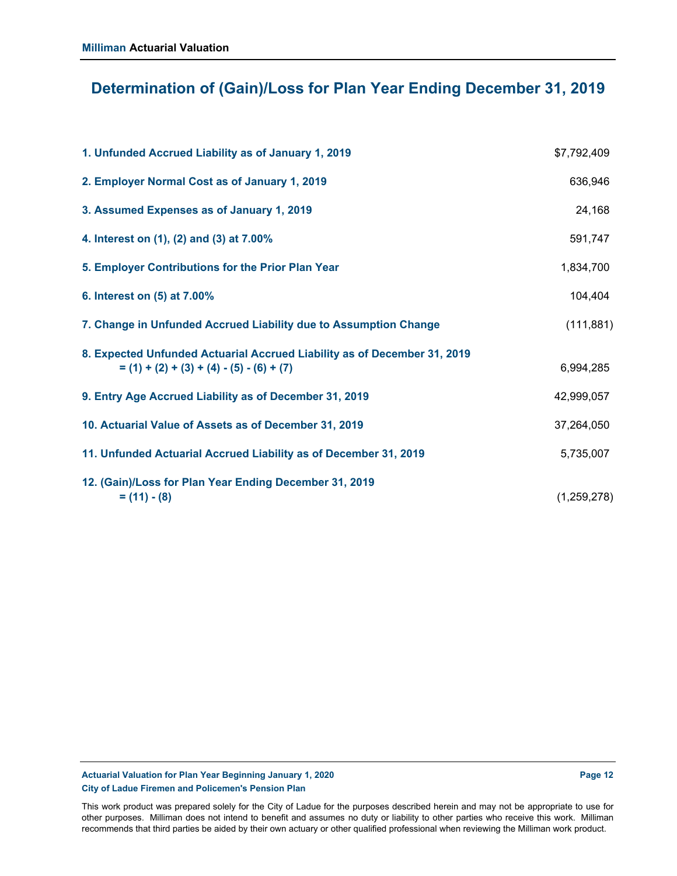## **Determination of (Gain)/Loss for Plan Year Ending December 31, 2019**

| 1. Unfunded Accrued Liability as of January 1, 2019                                                                     | \$7,792,409 |
|-------------------------------------------------------------------------------------------------------------------------|-------------|
| 2. Employer Normal Cost as of January 1, 2019                                                                           | 636,946     |
| 3. Assumed Expenses as of January 1, 2019                                                                               | 24,168      |
| 4. Interest on (1), (2) and (3) at 7.00%                                                                                | 591,747     |
| 5. Employer Contributions for the Prior Plan Year                                                                       | 1,834,700   |
| 6. Interest on (5) at 7.00%                                                                                             | 104,404     |
| 7. Change in Unfunded Accrued Liability due to Assumption Change                                                        | (111, 881)  |
| 8. Expected Unfunded Actuarial Accrued Liability as of December 31, 2019<br>$= (1) + (2) + (3) + (4) - (5) - (6) + (7)$ | 6,994,285   |
| 9. Entry Age Accrued Liability as of December 31, 2019                                                                  | 42,999,057  |
| 10. Actuarial Value of Assets as of December 31, 2019                                                                   | 37,264,050  |
| 11. Unfunded Actuarial Accrued Liability as of December 31, 2019                                                        | 5,735,007   |
| 12. (Gain)/Loss for Plan Year Ending December 31, 2019<br>$= (11) - (8)$                                                | (1,259,278) |

**Actuarial Valuation for Plan Year Beginning January 1, 2020 Page 12 Page 12 Page 12 City of Ladue Firemen and Policemen's Pension Plan**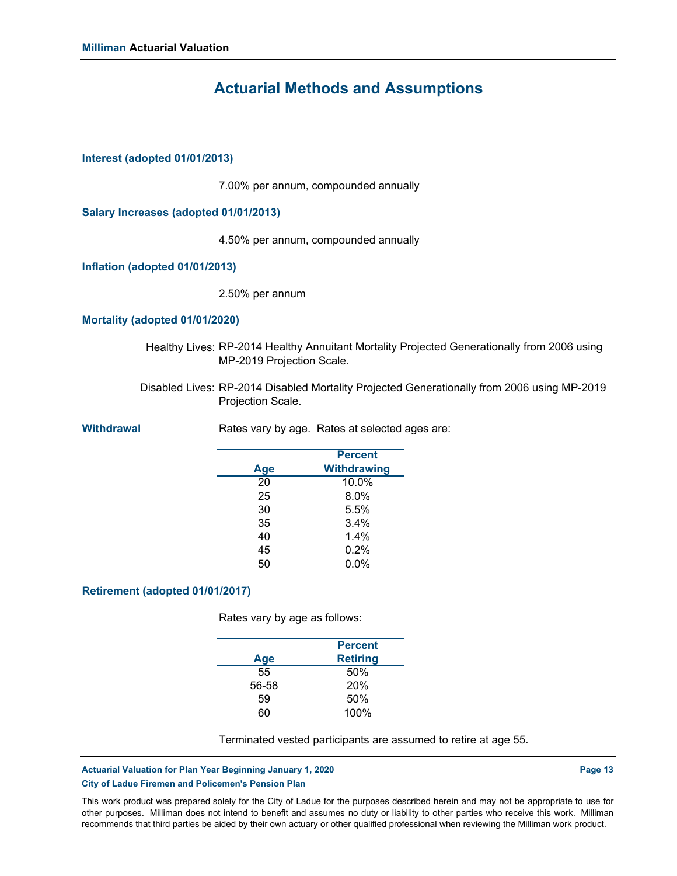## **Actuarial Methods and Assumptions**

### **Interest (adopted 01/01/2013)**

7.00% per annum, compounded annually

**Salary Increases (adopted 01/01/2013)**

4.50% per annum, compounded annually

**Inflation (adopted 01/01/2013)**

2.50% per annum

#### **Mortality (adopted 01/01/2020)**

- Healthy Lives: RP-2014 Healthy Annuitant Mortality Projected Generationally from 2006 using MP-2019 Projection Scale.
- Disabled Lives: RP-2014 Disabled Mortality Projected Generationally from 2006 using MP-2019 Projection Scale.

**Withdrawal Rates vary by age. Rates at selected ages are:** 

|     | <b>Percent</b>     |
|-----|--------------------|
| Age | <b>Withdrawing</b> |
| 20  | 10.0%              |
| 25  | 8.0%               |
| 30  | 5.5%               |
| 35  | 3.4%               |
| 40  | 1.4%               |
| 45  | 0.2%               |
| 50  | $0.0\%$            |

### **Retirement (adopted 01/01/2017)**

Rates vary by age as follows:

|       | <b>Percent</b>  |  |
|-------|-----------------|--|
| Age   | <b>Retiring</b> |  |
| 55    | 50%             |  |
| 56-58 | 20%             |  |
| 59    | 50%             |  |
| ഩ     | 100%            |  |

Terminated vested participants are assumed to retire at age 55.

#### **Actuarial Valuation for Plan Year Beginning January 1, 2020 Page 13 Page 13 Page 13 City of Ladue Firemen and Policemen's Pension Plan**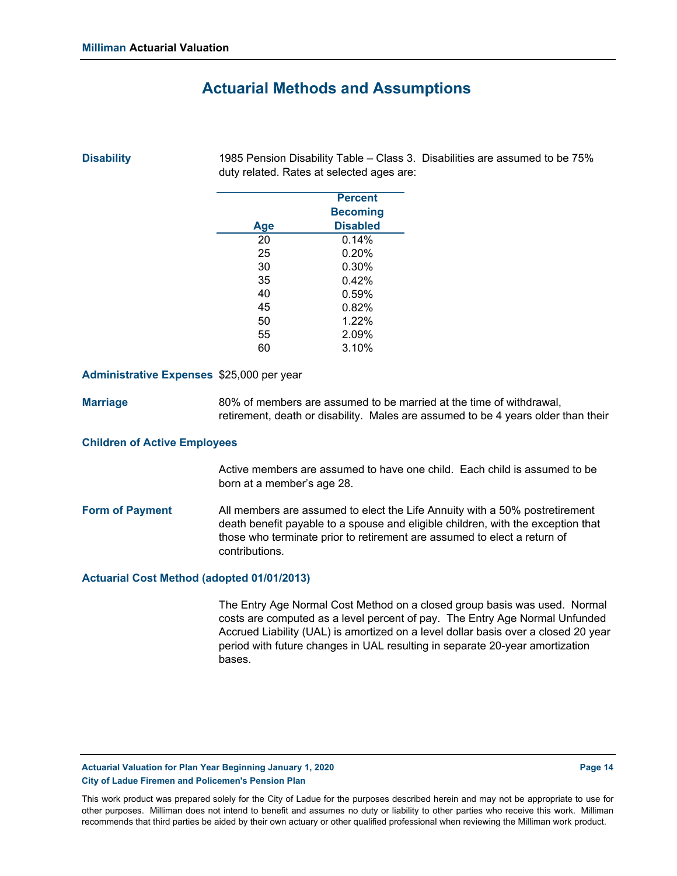### **Actuarial Methods and Assumptions**

### **Disability**

1985 Pension Disability Table – Class 3. Disabilities are assumed to be 75% duty related. Rates at selected ages are:

|     | <b>Percent</b>  |
|-----|-----------------|
|     | <b>Becoming</b> |
| Age | <b>Disabled</b> |
| 20  | 0.14%           |
| 25  | 0.20%           |
| 30  | 0.30%           |
| 35  | 0.42%           |
| 40  | 0.59%           |
| 45  | 0.82%           |
| 50  | 1.22%           |
| 55  | 2.09%           |
| 60  | 3.10%           |
|     |                 |

#### **Administrative Expenses** \$25,000 per year

**Marriage** 80% of members are assumed to be married at the time of withdrawal, retirement, death or disability. Males are assumed to be 4 years older than their

#### **Children of Active Employees**

Active members are assumed to have one child. Each child is assumed to be born at a member's age 28.

**Form of Payment** All members are assumed to elect the Life Annuity with a 50% postretirement death benefit payable to a spouse and eligible children, with the exception that those who terminate prior to retirement are assumed to elect a return of contributions.

#### **Actuarial Cost Method (adopted 01/01/2013)**

The Entry Age Normal Cost Method on a closed group basis was used. Normal costs are computed as a level percent of pay. The Entry Age Normal Unfunded Accrued Liability (UAL) is amortized on a level dollar basis over a closed 20 year period with future changes in UAL resulting in separate 20-year amortization bases.

Actuarial Valuation for Plan Year Beginning January 1, 2020 **Page 14** Page 14 **City of Ladue Firemen and Policemen's Pension Plan**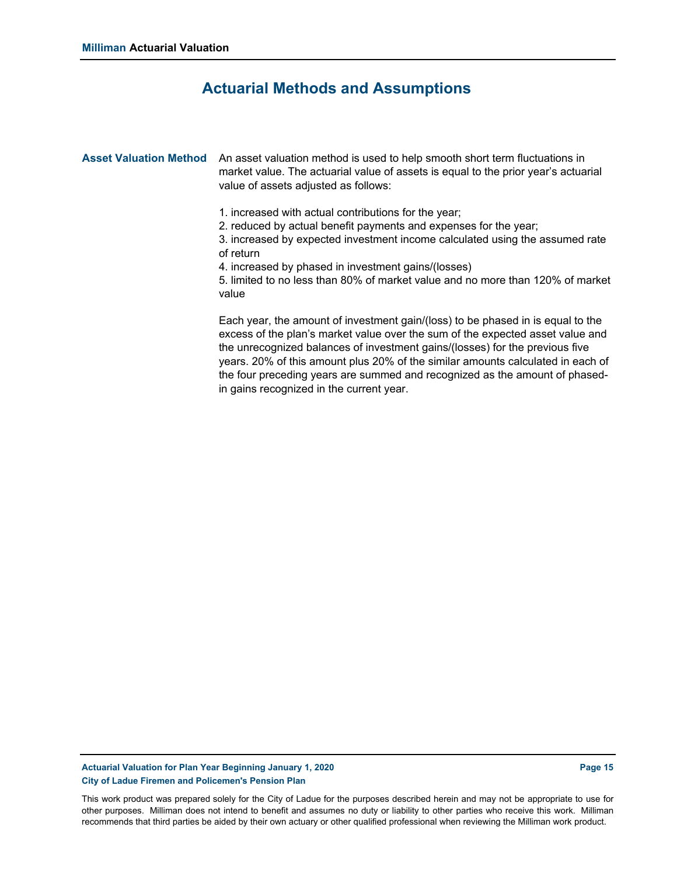### **Actuarial Methods and Assumptions**

Asset Valuation Method An asset valuation method is used to help smooth short term fluctuations in market value. The actuarial value of assets is equal to the prior year's actuarial value of assets adjusted as follows:

- 1. increased with actual contributions for the year;
- 2. reduced by actual benefit payments and expenses for the year;

3. increased by expected investment income calculated using the assumed rate of return

4. increased by phased in investment gains/(losses)

5. limited to no less than 80% of market value and no more than 120% of market value

Each year, the amount of investment gain/(loss) to be phased in is equal to the excess of the plan's market value over the sum of the expected asset value and the unrecognized balances of investment gains/(losses) for the previous five years. 20% of this amount plus 20% of the similar amounts calculated in each of the four preceding years are summed and recognized as the amount of phasedin gains recognized in the current year.

#### Actuarial Valuation for Plan Year Beginning January 1, 2020 **Page 15 Page 15 Page 15 City of Ladue Firemen and Policemen's Pension Plan**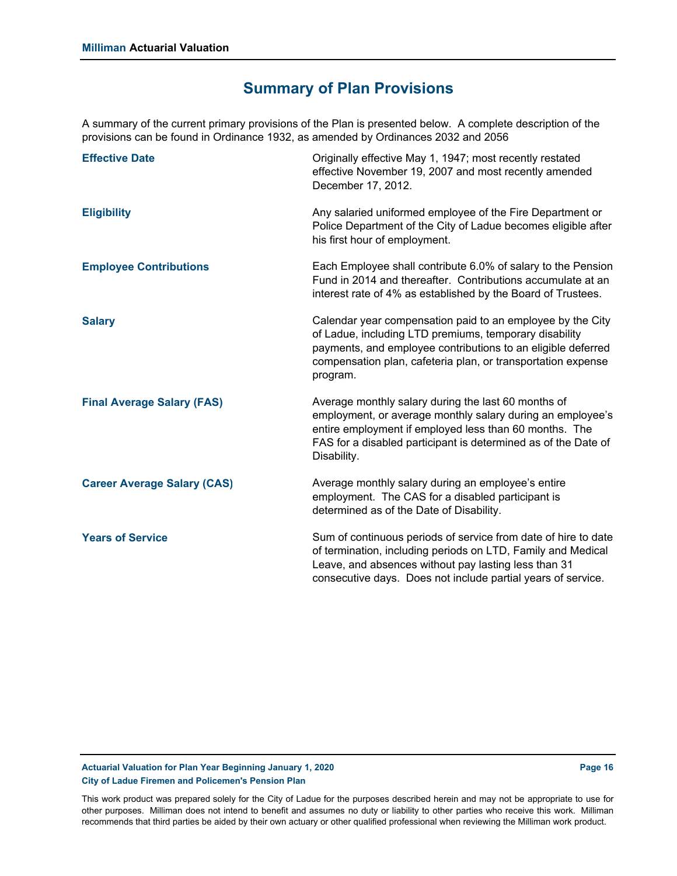## **Summary of Plan Provisions**

A summary of the current primary provisions of the Plan is presented below. A complete description of the provisions can be found in Ordinance 1932, as amended by Ordinances 2032 and 2056

| <b>Effective Date</b>              | Originally effective May 1, 1947; most recently restated<br>effective November 19, 2007 and most recently amended<br>December 17, 2012.                                                                                                                          |
|------------------------------------|------------------------------------------------------------------------------------------------------------------------------------------------------------------------------------------------------------------------------------------------------------------|
| <b>Eligibility</b>                 | Any salaried uniformed employee of the Fire Department or<br>Police Department of the City of Ladue becomes eligible after<br>his first hour of employment.                                                                                                      |
| <b>Employee Contributions</b>      | Each Employee shall contribute 6.0% of salary to the Pension<br>Fund in 2014 and thereafter. Contributions accumulate at an<br>interest rate of 4% as established by the Board of Trustees.                                                                      |
| <b>Salary</b>                      | Calendar year compensation paid to an employee by the City<br>of Ladue, including LTD premiums, temporary disability<br>payments, and employee contributions to an eligible deferred<br>compensation plan, cafeteria plan, or transportation expense<br>program. |
| <b>Final Average Salary (FAS)</b>  | Average monthly salary during the last 60 months of<br>employment, or average monthly salary during an employee's<br>entire employment if employed less than 60 months. The<br>FAS for a disabled participant is determined as of the Date of<br>Disability.     |
| <b>Career Average Salary (CAS)</b> | Average monthly salary during an employee's entire<br>employment. The CAS for a disabled participant is<br>determined as of the Date of Disability.                                                                                                              |
| <b>Years of Service</b>            | Sum of continuous periods of service from date of hire to date<br>of termination, including periods on LTD, Family and Medical<br>Leave, and absences without pay lasting less than 31<br>consecutive days. Does not include partial years of service.           |

**Actuarial Valuation for Plan Year Beginning January 1, 2020 Page 16 Page 16 Page 16 Page 16 City of Ladue Firemen and Policemen's Pension Plan**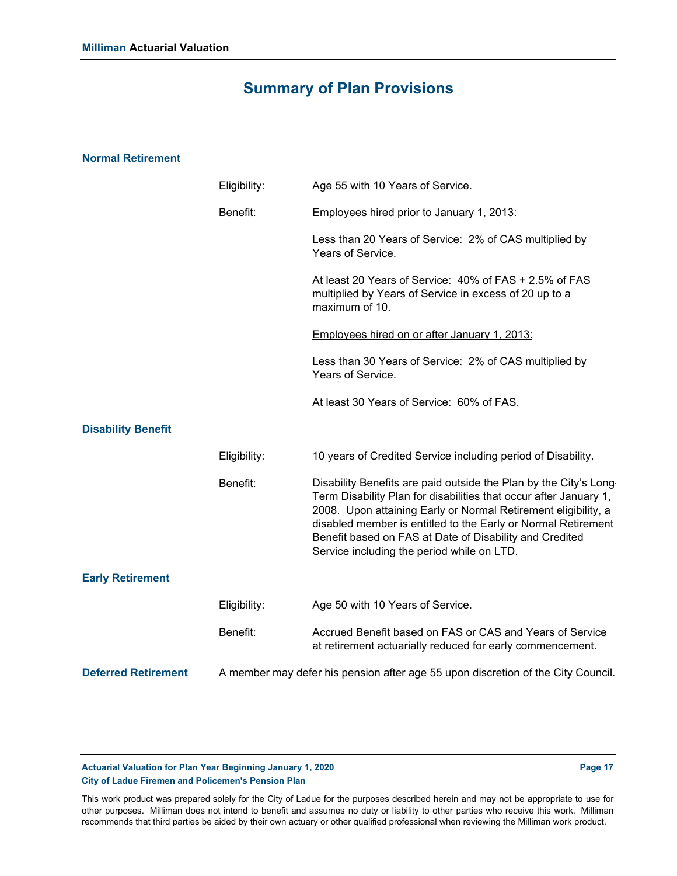## **Summary of Plan Provisions**

### **Normal Retirement**

|                            | Eligibility: | Age 55 with 10 Years of Service.                                                                                                                                                                                                                                                                                                                                                  |
|----------------------------|--------------|-----------------------------------------------------------------------------------------------------------------------------------------------------------------------------------------------------------------------------------------------------------------------------------------------------------------------------------------------------------------------------------|
|                            | Benefit:     | Employees hired prior to January 1, 2013:                                                                                                                                                                                                                                                                                                                                         |
|                            |              | Less than 20 Years of Service: 2% of CAS multiplied by<br>Years of Service.                                                                                                                                                                                                                                                                                                       |
|                            |              | At least 20 Years of Service: 40% of FAS + 2.5% of FAS<br>multiplied by Years of Service in excess of 20 up to a<br>maximum of 10.                                                                                                                                                                                                                                                |
|                            |              | Employees hired on or after January 1, 2013:                                                                                                                                                                                                                                                                                                                                      |
|                            |              | Less than 30 Years of Service: 2% of CAS multiplied by<br>Years of Service.                                                                                                                                                                                                                                                                                                       |
|                            |              | At least 30 Years of Service: 60% of FAS.                                                                                                                                                                                                                                                                                                                                         |
| <b>Disability Benefit</b>  |              |                                                                                                                                                                                                                                                                                                                                                                                   |
|                            | Eligibility: | 10 years of Credited Service including period of Disability.                                                                                                                                                                                                                                                                                                                      |
|                            | Benefit:     | Disability Benefits are paid outside the Plan by the City's Long<br>Term Disability Plan for disabilities that occur after January 1,<br>2008. Upon attaining Early or Normal Retirement eligibility, a<br>disabled member is entitled to the Early or Normal Retirement<br>Benefit based on FAS at Date of Disability and Credited<br>Service including the period while on LTD. |
| <b>Early Retirement</b>    |              |                                                                                                                                                                                                                                                                                                                                                                                   |
|                            | Eligibility: | Age 50 with 10 Years of Service.                                                                                                                                                                                                                                                                                                                                                  |
|                            | Benefit:     | Accrued Benefit based on FAS or CAS and Years of Service<br>at retirement actuarially reduced for early commencement.                                                                                                                                                                                                                                                             |
| <b>Deferred Retirement</b> |              | A member may defer his pension after age 55 upon discretion of the City Council.                                                                                                                                                                                                                                                                                                  |

**Actuarial Valuation for Plan Year Beginning January 1, 2020 Page 17 Page 17 Page 17 City of Ladue Firemen and Policemen's Pension Plan**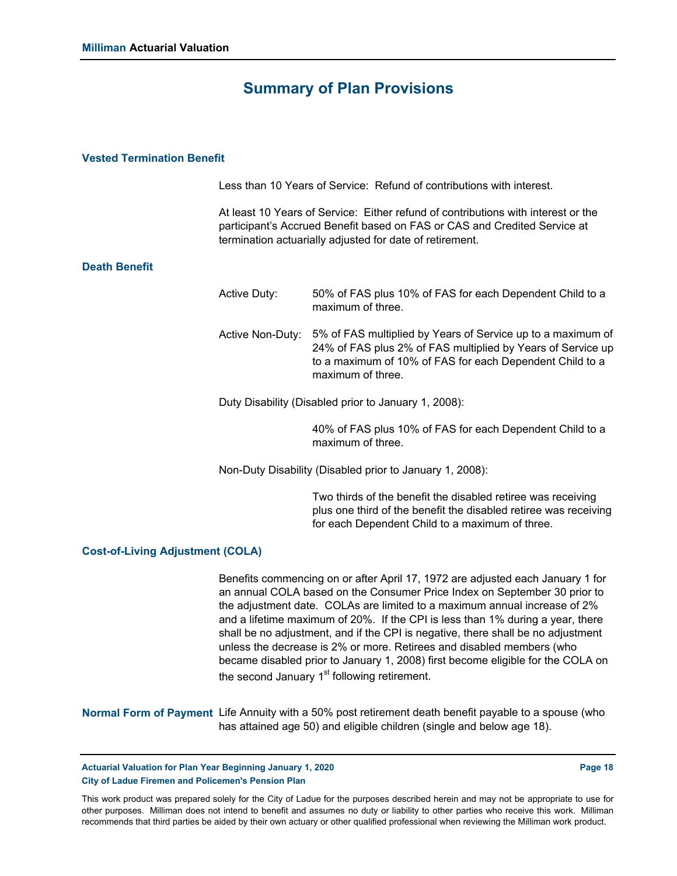### **Summary of Plan Provisions**

### **Vested Termination Benefit**

Less than 10 Years of Service: Refund of contributions with interest.

At least 10 Years of Service: Either refund of contributions with interest or the participant's Accrued Benefit based on FAS or CAS and Credited Service at termination actuarially adjusted for date of retirement.

### **Death Benefit**

Active Duty: Active Non-Duty: 5% of FAS multiplied by Years of Service up to a maximum of Duty Disability (Disabled prior to January 1, 2008): 50% of FAS plus 10% of FAS for each Dependent Child to a maximum of three. 24% of FAS plus 2% of FAS multiplied by Years of Service up to a maximum of 10% of FAS for each Dependent Child to a maximum of three.

> 40% of FAS plus 10% of FAS for each Dependent Child to a maximum of three.

Non-Duty Disability (Disabled prior to January 1, 2008):

Two thirds of the benefit the disabled retiree was receiving plus one third of the benefit the disabled retiree was receiving for each Dependent Child to a maximum of three.

#### **Cost-of-Living Adjustment (COLA)**

Benefits commencing on or after April 17, 1972 are adjusted each January 1 for an annual COLA based on the Consumer Price Index on September 30 prior to the adjustment date. COLAs are limited to a maximum annual increase of 2% and a lifetime maximum of 20%. If the CPI is less than 1% during a year, there shall be no adjustment, and if the CPI is negative, there shall be no adjustment unless the decrease is 2% or more. Retirees and disabled members (who became disabled prior to January 1, 2008) first become eligible for the COLA on the second January  $1<sup>st</sup>$  following retirement.

**Normal Form of Payment** Life Annuity with a 50% post retirement death benefit payable to a spouse (who has attained age 50) and eligible children (single and below age 18).

Actuarial Valuation for Plan Year Beginning January 1, 2020 **Page 18 Page 18** Page 18 **City of Ladue Firemen and Policemen's Pension Plan**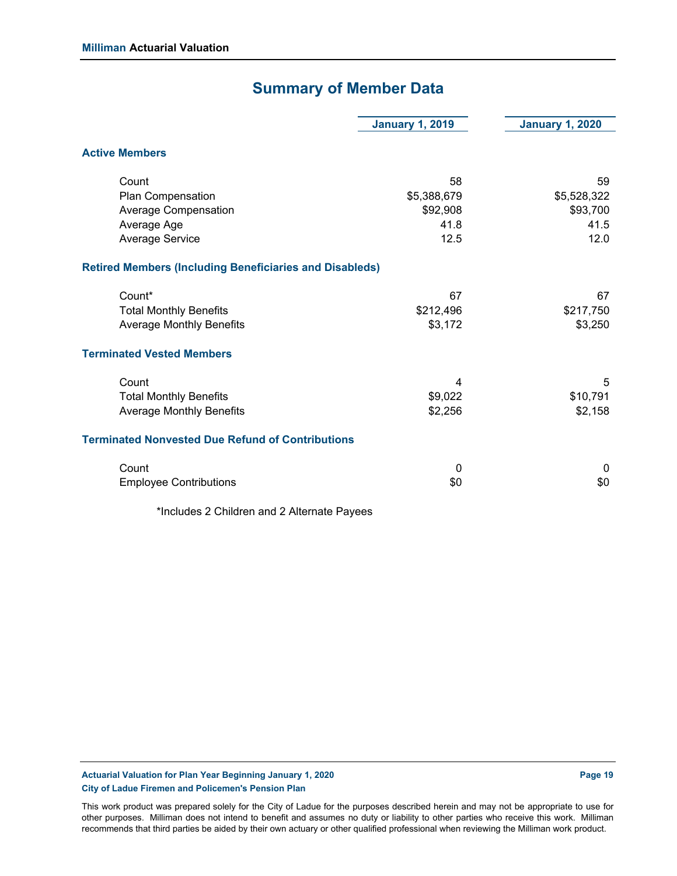## **Summary of Member Data**

|                                                                | <b>January 1, 2019</b> | <b>January 1, 2020</b> |
|----------------------------------------------------------------|------------------------|------------------------|
| <b>Active Members</b>                                          |                        |                        |
| Count                                                          | 58                     | 59                     |
| Plan Compensation                                              | \$5,388,679            | \$5,528,322            |
| <b>Average Compensation</b>                                    | \$92,908               | \$93,700               |
| Average Age                                                    | 41.8                   | 41.5                   |
| <b>Average Service</b>                                         | 12.5                   | 12.0                   |
| <b>Retired Members (Including Beneficiaries and Disableds)</b> |                        |                        |
| Count*                                                         | 67                     | 67                     |
| <b>Total Monthly Benefits</b>                                  | \$212,496              | \$217,750              |
| <b>Average Monthly Benefits</b>                                | \$3,172                | \$3,250                |
| <b>Terminated Vested Members</b>                               |                        |                        |
| Count                                                          | 4                      | 5                      |
| <b>Total Monthly Benefits</b>                                  | \$9,022                | \$10,791               |
| <b>Average Monthly Benefits</b>                                | \$2,256                | \$2,158                |
| <b>Terminated Nonvested Due Refund of Contributions</b>        |                        |                        |
| Count                                                          | 0                      | 0                      |
| <b>Employee Contributions</b>                                  | \$0                    | \$0                    |
|                                                                |                        |                        |

\*Includes 2 Children and 2 Alternate Payees

Actuarial Valuation for Plan Year Beginning January 1, 2020 **Page 19** Page 19 **City of Ladue Firemen and Policemen's Pension Plan**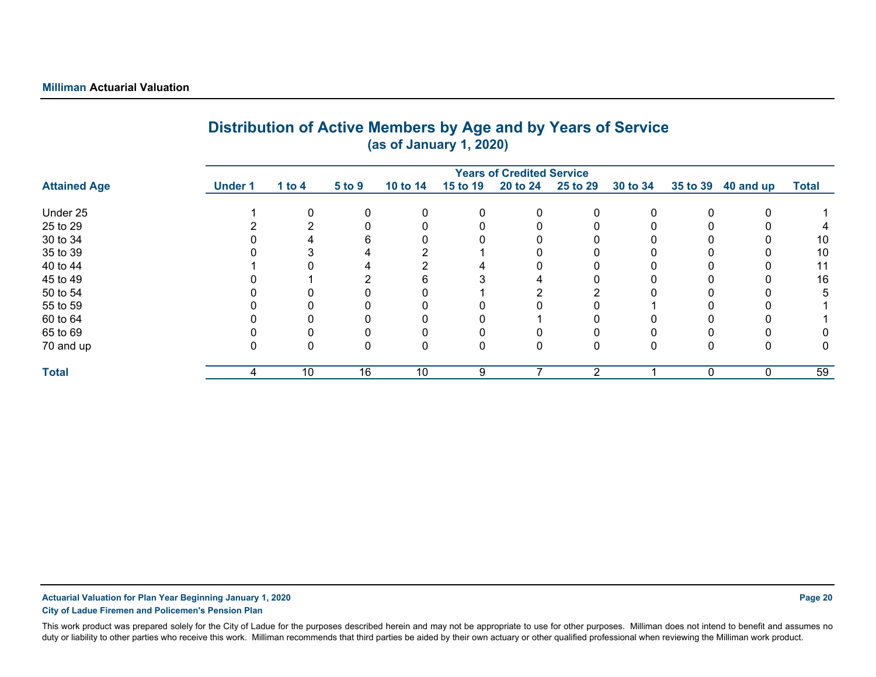|                     |                |          |          |          | (as of January 1, 2020) |                                  |                |          |              |              |              |
|---------------------|----------------|----------|----------|----------|-------------------------|----------------------------------|----------------|----------|--------------|--------------|--------------|
|                     |                |          |          |          |                         | <b>Years of Credited Service</b> |                |          |              |              |              |
| <b>Attained Age</b> | <b>Under 1</b> | 1 to $4$ | 5 to 9   | 10 to 14 | 15 to 19                | 20 to 24                         | 25 to 29       | 30 to 34 | 35 to 39     | 40 and up    | <b>Total</b> |
| Under 25            |                |          | $\Omega$ | 0        | 0                       | 0                                | 0              |          | $\mathbf{0}$ | $\mathbf{0}$ |              |
| 25 to 29            |                |          |          | 0        |                         |                                  |                |          |              |              | 4            |
| 30 to 34            |                |          | 6        | 0        |                         |                                  |                |          |              |              | 10           |
| 35 to 39            |                |          |          |          |                         |                                  |                |          |              |              | 10           |
| 40 to 44            |                |          |          |          |                         |                                  |                |          |              |              | 11           |
| 45 to 49            |                |          |          | 6        |                         |                                  |                |          |              |              | 16           |
| 50 to 54            |                |          |          |          |                         | ◠                                | ∩              |          |              |              | 5            |
| 55 to 59            |                |          |          |          |                         |                                  |                |          |              |              |              |
| 60 to 64            |                |          |          |          |                         |                                  |                |          |              |              |              |
| 65 to 69            |                |          |          |          |                         |                                  |                |          |              |              |              |
| 70 and up           |                | 0        | $\Omega$ | 0        | 0                       | 0                                | 0              |          | 0            | 0            | 0            |
| <b>Total</b>        | 4              | 10       | 16       | 10       | 9                       |                                  | $\mathfrak{p}$ |          | $\mathbf{0}$ | $\Omega$     | 59           |

# **Distribution of Active Members by Age and by Years of Service**

**Actuarial Valuation for Plan Year Beginning January 1, 2020 Page 20**

**City of Ladue Firemen and Policemen's Pension Plan**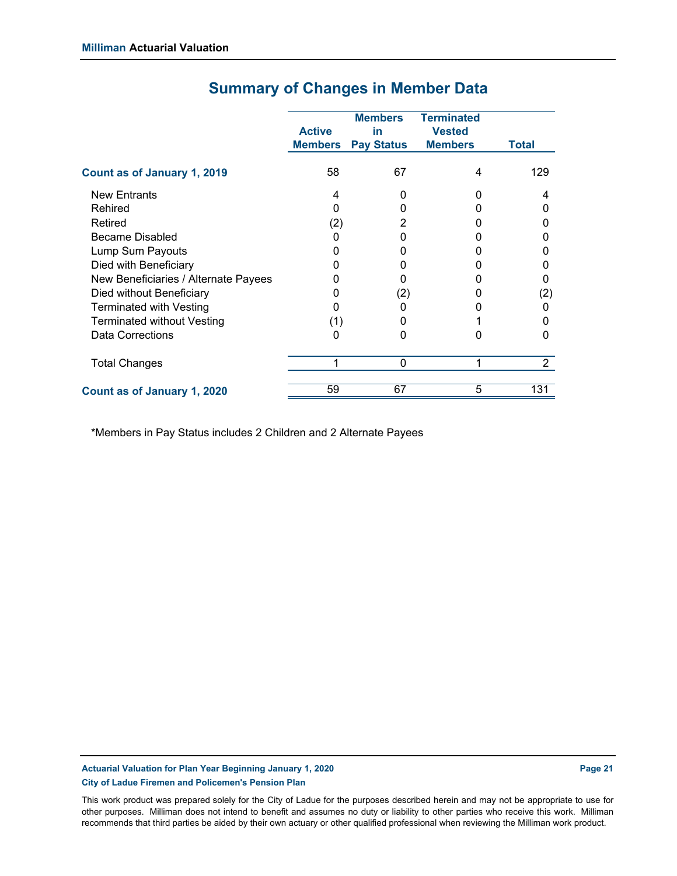|                                      | <b>Active</b><br><b>Members</b> | <b>Members</b><br>in<br><b>Pay Status</b> | <b>Terminated</b><br><b>Vested</b><br><b>Members</b> | <b>Total</b>   |
|--------------------------------------|---------------------------------|-------------------------------------------|------------------------------------------------------|----------------|
| Count as of January 1, 2019          | 58                              | 67                                        | 4                                                    | 129            |
| <b>New Entrants</b>                  | 4                               | 0                                         |                                                      | 4              |
| Rehired                              | O                               | ი                                         |                                                      |                |
| Retired                              | (2)                             | 2                                         |                                                      |                |
| Became Disabled                      | 0                               | O                                         |                                                      |                |
| Lump Sum Payouts                     |                                 | 0                                         |                                                      |                |
| Died with Beneficiary                |                                 | 0                                         |                                                      |                |
| New Beneficiaries / Alternate Payees |                                 |                                           |                                                      |                |
| Died without Beneficiary             | 0                               | (2)                                       |                                                      | (2)            |
| <b>Terminated with Vesting</b>       | 0                               | ი                                         |                                                      |                |
| <b>Terminated without Vesting</b>    | (1)                             | 0                                         |                                                      |                |
| Data Corrections                     | 0                               | 0                                         |                                                      |                |
| <b>Total Changes</b>                 |                                 | 0                                         |                                                      | $\overline{2}$ |
| Count as of January 1, 2020          | 59                              | 67                                        | 5                                                    | 131            |

## **Summary of Changes in Member Data**

\*Members in Pay Status includes 2 Children and 2 Alternate Payees

**Actuarial Valuation for Plan Year Beginning January 1, 2020 Page 21 Page 21 Page 21 City of Ladue Firemen and Policemen's Pension Plan**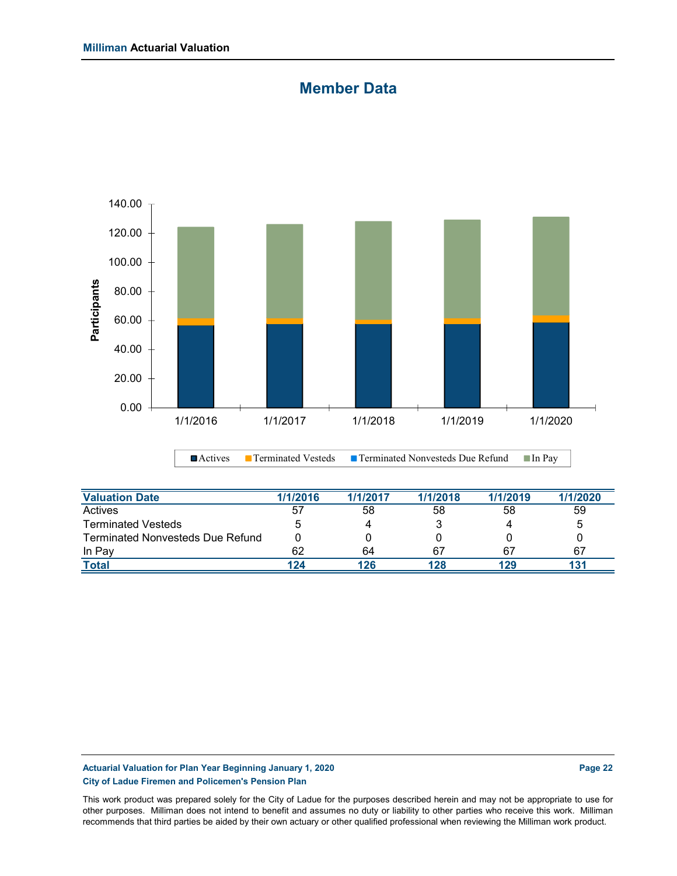### **Member Data**



| <b>Valuation Date</b>                   | 1/1/2016 | 1/1/2017 | 1/1/2018 | 1/1/2019 | 1/1/2020 |
|-----------------------------------------|----------|----------|----------|----------|----------|
| Actives                                 | 57       | 58       | 58       | 58       | 59       |
| <b>Terminated Vesteds</b>               |          |          |          |          | 5        |
| <b>Terminated Nonvesteds Due Refund</b> |          |          |          |          |          |
| In Pay                                  | 62       | 64       | 67       | 67       | 67       |
| <b>Total</b>                            | 124      | 126      | 128      | 129      |          |

### Actuarial Valuation for Plan Year Beginning January 1, 2020 **Page 22 Page 22** Page 22 **City of Ladue Firemen and Policemen's Pension Plan**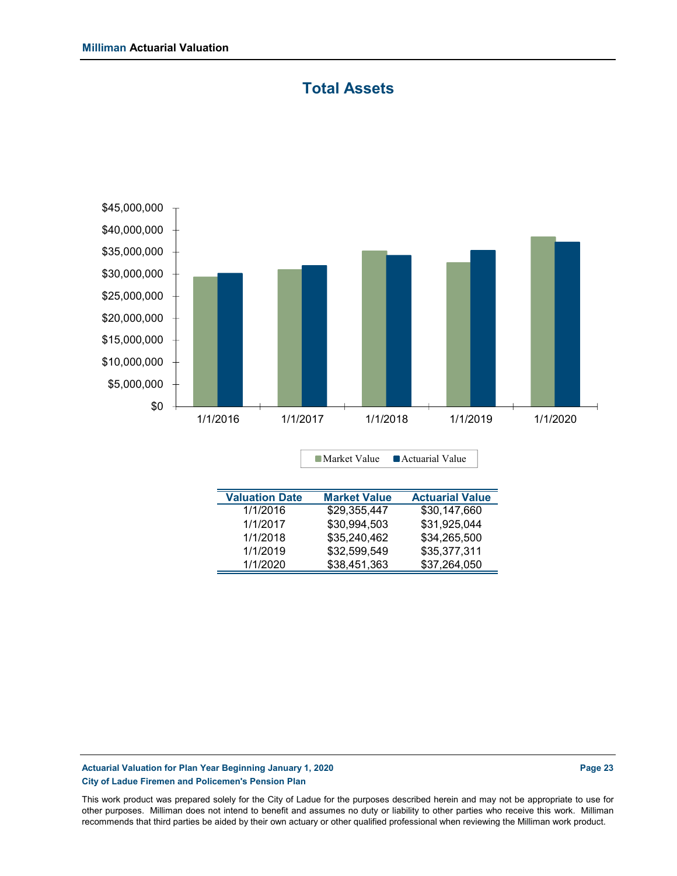### **Total Assets**



**Valuation Date Market Value Actuarial Value**

■ Market Value ■ Actuarial Value

| 1/1/2016 | \$29.355.447 | \$30,147,660 |
|----------|--------------|--------------|
| 1/1/2017 | \$30,994,503 | \$31,925,044 |
| 1/1/2018 | \$35,240,462 | \$34.265.500 |
| 1/1/2019 | \$32.599.549 | \$35.377.311 |
| 1/1/2020 | \$38.451.363 | \$37,264,050 |
|          |              |              |

**Actuarial Valuation for Plan Year Beginning January 1, 2020 Page 23 Page 23 City of Ladue Firemen and Policemen's Pension Plan**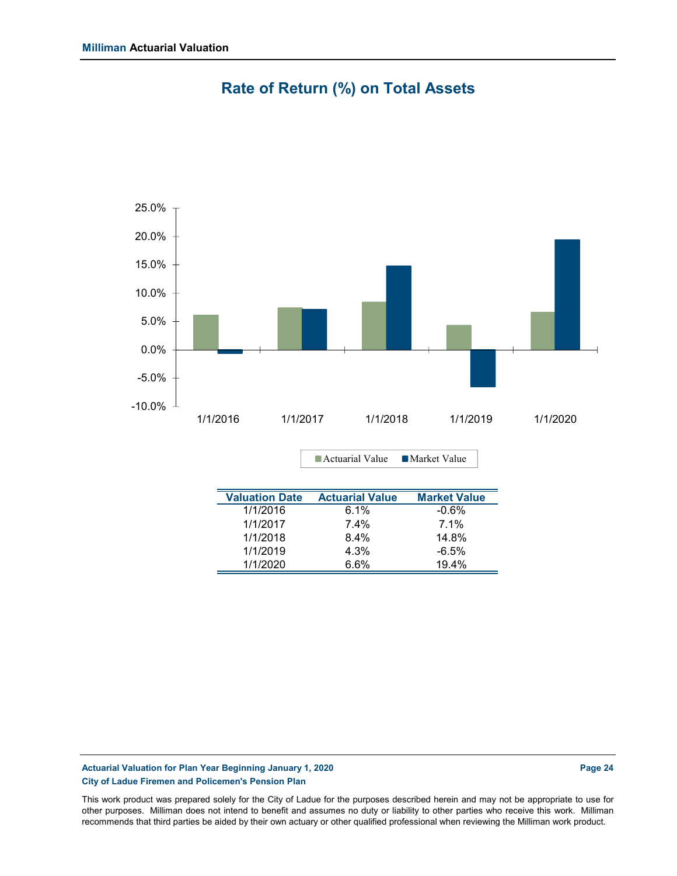

## **Rate of Return (%) on Total Assets**

| <b>Valuation Date</b> | <b>Actuarial Value</b> | <b>Market Value</b> |
|-----------------------|------------------------|---------------------|
| 1/1/2016              | 6.1%                   | $-0.6%$             |
| 1/1/2017              | 7.4%                   | $7.1\%$             |
| 1/1/2018              | $8.4\%$                | 14.8%               |
| 1/1/2019              | 4.3%                   | $-6.5%$             |
| 1/1/2020              | 6.6%                   | 19.4%               |

■ Actuarial Value ■ Market Value

### **Actuarial Valuation for Plan Year Beginning January 1, 2020 Page 24 Page 24 Page 24 City of Ladue Firemen and Policemen's Pension Plan**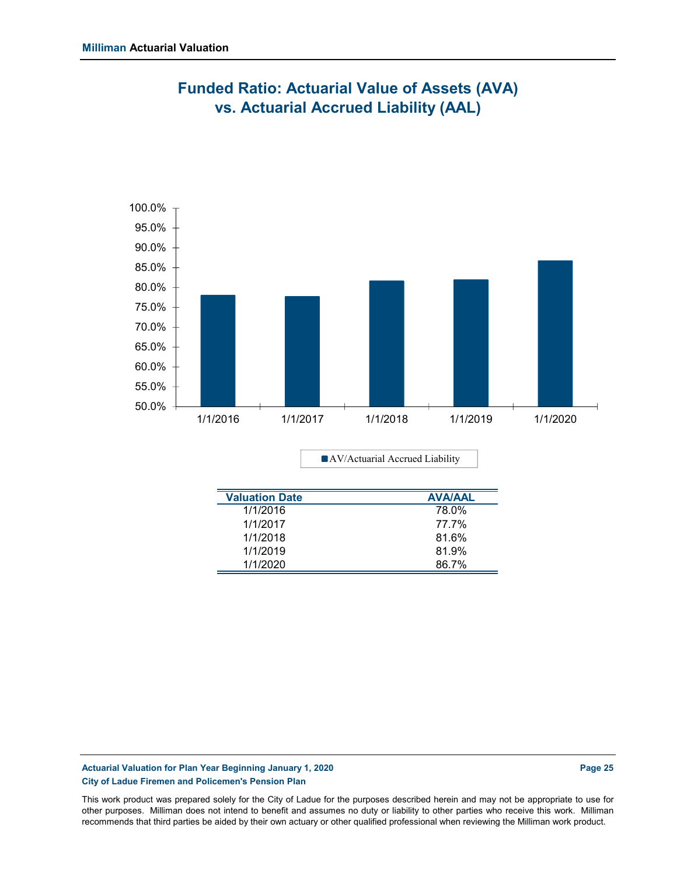

## **Funded Ratio: Actuarial Value of Assets (AVA) vs. Actuarial Accrued Liability (AAL)**

AV/Actuarial Accrued Liability

| <b>Valuation Date</b> | <b>AVA/AAL</b> |
|-----------------------|----------------|
| 1/1/2016              | 78.0%          |
| 1/1/2017              | 77.7%          |
| 1/1/2018              | 81.6%          |
| 1/1/2019              | 81.9%          |
| 1/1/2020              | 86.7%          |

### **Actuarial Valuation for Plan Year Beginning January 1, 2020 Page 25 Page 25 City of Ladue Firemen and Policemen's Pension Plan**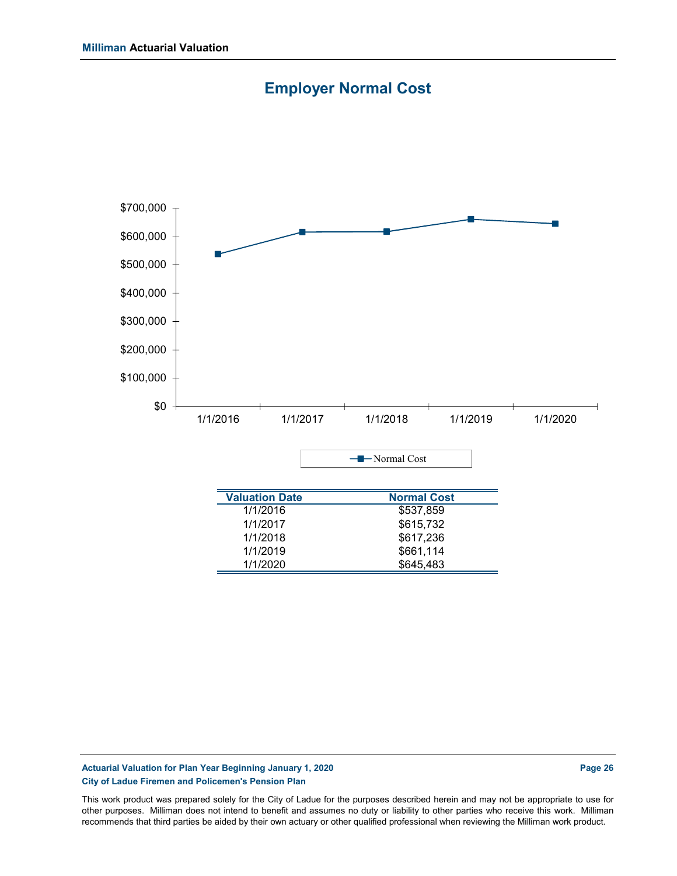



### **Actuarial Valuation for Plan Year Beginning January 1, 2020 Page 26 Page 26 Page 26 City of Ladue Firemen and Policemen's Pension Plan**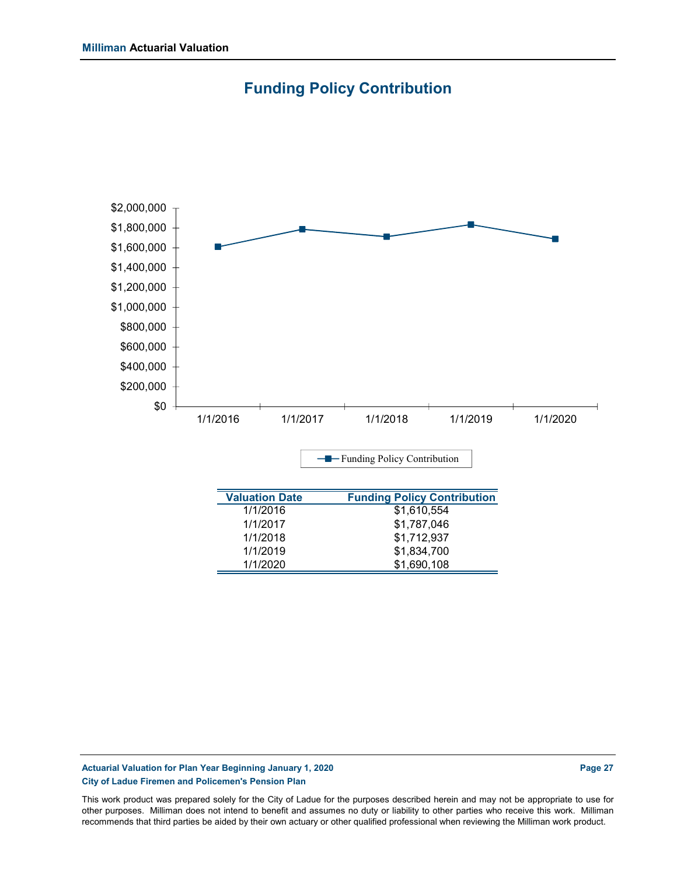



1/1/2019 \$1,834,700 1/1/2020 \$1,690,108

### Actuarial Valuation for Plan Year Beginning January 1, 2020 **Page 27 Page 27 Page 27 City of Ladue Firemen and Policemen's Pension Plan**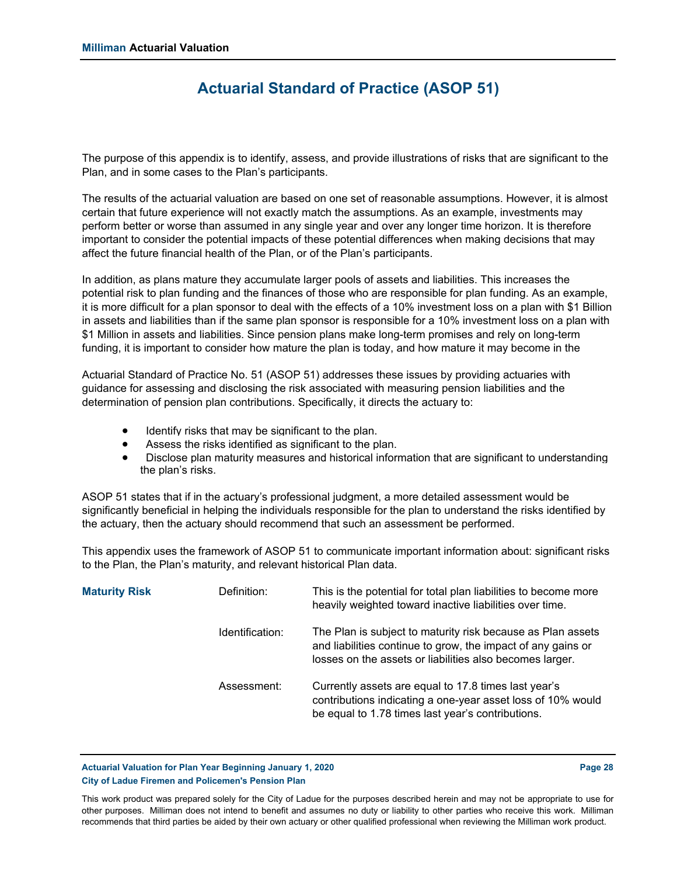### **Actuarial Standard of Practice (ASOP 51)**

The purpose of this appendix is to identify, assess, and provide illustrations of risks that are significant to the Plan, and in some cases to the Plan's participants.

The results of the actuarial valuation are based on one set of reasonable assumptions. However, it is almost certain that future experience will not exactly match the assumptions. As an example, investments may perform better or worse than assumed in any single year and over any longer time horizon. It is therefore important to consider the potential impacts of these potential differences when making decisions that may affect the future financial health of the Plan, or of the Plan's participants.

In addition, as plans mature they accumulate larger pools of assets and liabilities. This increases the potential risk to plan funding and the finances of those who are responsible for plan funding. As an example, it is more difficult for a plan sponsor to deal with the effects of a 10% investment loss on a plan with \$1 Billion in assets and liabilities than if the same plan sponsor is responsible for a 10% investment loss on a plan with \$1 Million in assets and liabilities. Since pension plans make long-term promises and rely on long-term funding, it is important to consider how mature the plan is today, and how mature it may become in the

Actuarial Standard of Practice No. 51 (ASOP 51) addresses these issues by providing actuaries with guidance for assessing and disclosing the risk associated with measuring pension liabilities and the determination of pension plan contributions. Specifically, it directs the actuary to:

- Identify risks that may be significant to the plan.
- Assess the risks identified as significant to the plan.
- Disclose plan maturity measures and historical information that are significant to understanding the plan's risks.

ASOP 51 states that if in the actuary's professional judgment, a more detailed assessment would be significantly beneficial in helping the individuals responsible for the plan to understand the risks identified by the actuary, then the actuary should recommend that such an assessment be performed.

This appendix uses the framework of ASOP 51 to communicate important information about: significant risks to the Plan, the Plan's maturity, and relevant historical Plan data.

| <b>Maturity Risk</b> | Definition:     | This is the potential for total plan liabilities to become more<br>heavily weighted toward inactive liabilities over time.                                                              |
|----------------------|-----------------|-----------------------------------------------------------------------------------------------------------------------------------------------------------------------------------------|
|                      | Identification: | The Plan is subject to maturity risk because as Plan assets<br>and liabilities continue to grow, the impact of any gains or<br>losses on the assets or liabilities also becomes larger. |
|                      | Assessment:     | Currently assets are equal to 17.8 times last year's<br>contributions indicating a one-year asset loss of 10% would<br>be equal to 1.78 times last year's contributions.                |

Actuarial Valuation for Plan Year Beginning January 1, 2020 **Page 28 Page 28** Page 28 **City of Ladue Firemen and Policemen's Pension Plan**